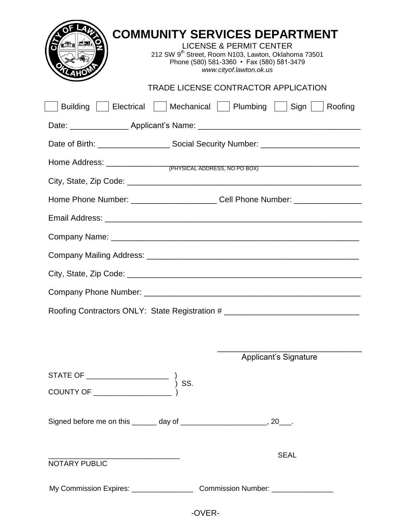| <b>COMMUNITY SERVICES DEPARTMENT</b><br><b>LICENSE &amp; PERMIT CENTER</b><br>212 SW 9 <sup>th</sup> Street, Room N103, Lawton, Oklahoma 73501<br>Phone (580) 581-3360 • Fax (580) 581-3479<br>www.cityof.lawton.ok.us |  |  |  |  |  |  |
|------------------------------------------------------------------------------------------------------------------------------------------------------------------------------------------------------------------------|--|--|--|--|--|--|
| <b>TRADE LICENSE CONTRACTOR APPLICATION</b>                                                                                                                                                                            |  |  |  |  |  |  |
| <b>Building</b><br>  Electrical   Mechanical   Plumbing   Sign   Roofing                                                                                                                                               |  |  |  |  |  |  |
|                                                                                                                                                                                                                        |  |  |  |  |  |  |
|                                                                                                                                                                                                                        |  |  |  |  |  |  |
|                                                                                                                                                                                                                        |  |  |  |  |  |  |
|                                                                                                                                                                                                                        |  |  |  |  |  |  |
| Home Phone Number: ___________________________Cell Phone Number: _______________                                                                                                                                       |  |  |  |  |  |  |
|                                                                                                                                                                                                                        |  |  |  |  |  |  |
|                                                                                                                                                                                                                        |  |  |  |  |  |  |
|                                                                                                                                                                                                                        |  |  |  |  |  |  |
|                                                                                                                                                                                                                        |  |  |  |  |  |  |
|                                                                                                                                                                                                                        |  |  |  |  |  |  |
| Roofing Contractors ONLY: State Registration # _________________________________                                                                                                                                       |  |  |  |  |  |  |
|                                                                                                                                                                                                                        |  |  |  |  |  |  |
| <b>Applicant's Signature</b>                                                                                                                                                                                           |  |  |  |  |  |  |
|                                                                                                                                                                                                                        |  |  |  |  |  |  |
|                                                                                                                                                                                                                        |  |  |  |  |  |  |
| Signed before me on this _______ day of _________________________, 20___.                                                                                                                                              |  |  |  |  |  |  |
| <b>SEAL</b><br><b>NOTARY PUBLIC</b>                                                                                                                                                                                    |  |  |  |  |  |  |
| My Commission Expires: ___________________________________Commission Number: ______________________                                                                                                                    |  |  |  |  |  |  |

-OVER-